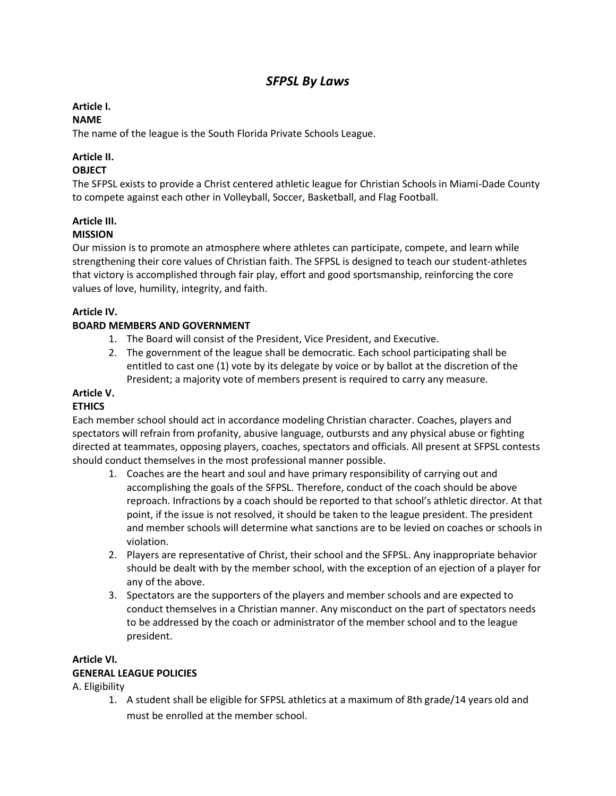# *SFPSL By Laws*

# **Article I.**

# **NAME**

The name of the league is the South Florida Private Schools League.

# **Article II.**

# **OBJECT**

The SFPSL exists to provide a Christ centered athletic league for Christian Schools in Miami-Dade County to compete against each other in Volleyball, Soccer, Basketball, and Flag Football.

# **Article III.**

### **MISSION**

Our mission is to promote an atmosphere where athletes can participate, compete, and learn while strengthening their core values of Christian faith. The SFPSL is designed to teach our student-athletes that victory is accomplished through fair play, effort and good sportsmanship, reinforcing the core values of love, humility, integrity, and faith.

# **Article IV.**

### **BOARD MEMBERS AND GOVERNMENT**

- 1. The Board will consist of the President, Vice President, and Executive.
- 2. The government of the league shall be democratic. Each school participating shall be entitled to cast one (1) vote by its delegate by voice or by ballot at the discretion of the President; a majority vote of members present is required to carry any measure.

#### **Article V.**

#### **ETHICS**

Each member school should act in accordance modeling Christian character. Coaches, players and spectators will refrain from profanity, abusive language, outbursts and any physical abuse or fighting directed at teammates, opposing players, coaches, spectators and officials. All present at SFPSL contests should conduct themselves in the most professional manner possible.

- 1. Coaches are the heart and soul and have primary responsibility of carrying out and accomplishing the goals of the SFPSL. Therefore, conduct of the coach should be above reproach. Infractions by a coach should be reported to that school's athletic director. At that point, if the issue is not resolved, it should be taken to the league president. The president and member schools will determine what sanctions are to be levied on coaches or schools in violation.
- 2. Players are representative of Christ, their school and the SFPSL. Any inappropriate behavior should be dealt with by the member school, with the exception of an ejection of a player for any of the above.
- 3. Spectators are the supporters of the players and member schools and are expected to conduct themselves in a Christian manner. Any misconduct on the part of spectators needs to be addressed by the coach or administrator of the member school and to the league president.

#### **Article VI. GENERAL LEAGUE POLICIES**

A. Eligibility

1. A student shall be eligible for SFPSL athletics at a maximum of 8th grade/14 years old and must be enrolled at the member school.